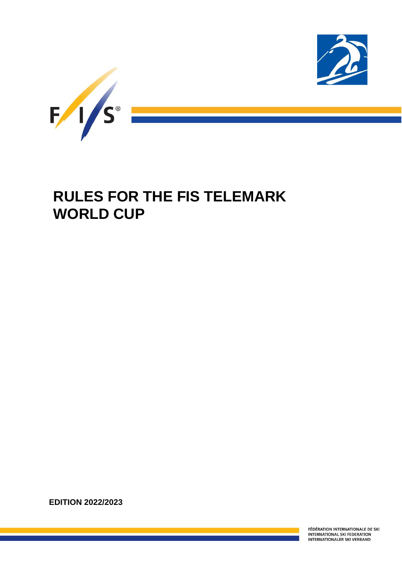

# **RULES FOR THE FIS TELEMARK WORLD CUP**

**EDITION 2022/2023**

l

FÉDÉRATION INTERNATIONALE DE SKI INTERNATIONAL SKI FEDERATION<br>INTERNATIONALER SKI VERBAND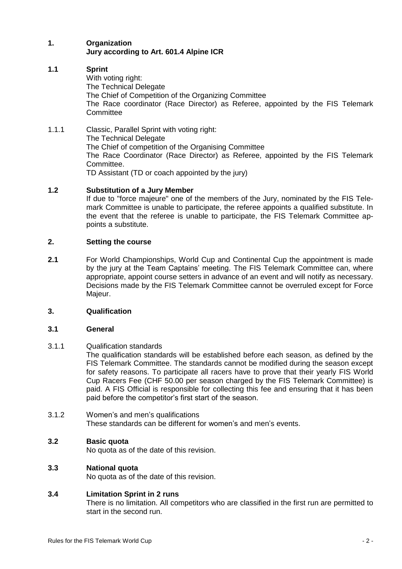# **1. Organization Jury according to Art. 601.4 Alpine ICR**

# **1.1 Sprint**

- With voting right: The Technical Delegate The Chief of Competition of the Organizing Committee The Race coordinator (Race Director) as Referee, appointed by the FIS Telemark **Committee**
- 1.1.1 Classic, Parallel Sprint with voting right: The Technical Delegate The Chief of competition of the Organising Committee The Race Coordinator (Race Director) as Referee, appointed by the FIS Telemark Committee. TD Assistant (TD or coach appointed by the jury)

# **1.2 Substitution of a Jury Member**

If due to "force majeure" one of the members of the Jury, nominated by the FIS Telemark Committee is unable to participate, the referee appoints a qualified substitute. In the event that the referee is unable to participate, the FIS Telemark Committee appoints a substitute.

## **2. Setting the course**

**2.1** For World Championships, World Cup and Continental Cup the appointment is made by the jury at the Team Captains' meeting. The FIS Telemark Committee can, where appropriate, appoint course setters in advance of an event and will notify as necessary. Decisions made by the FIS Telemark Committee cannot be overruled except for Force Majeur.

## **3. Qualification**

## **3.1 General**

# 3.1.1 Qualification standards

The qualification standards will be established before each season, as defined by the FIS Telemark Committee. The standards cannot be modified during the season except for safety reasons. To participate all racers have to prove that their yearly FIS World Cup Racers Fee (CHF 50.00 per season charged by the FIS Telemark Committee) is paid. A FIS Official is responsible for collecting this fee and ensuring that it has been paid before the competitor's first start of the season.

3.1.2 Women's and men's qualifications These standards can be different for women's and men's events.

## **3.2 Basic quota**

No quota as of the date of this revision.

# **3.3 National quota**

No quota as of the date of this revision.

# **3.4 Limitation Sprint in 2 runs**

There is no limitation. All competitors who are classified in the first run are permitted to start in the second run.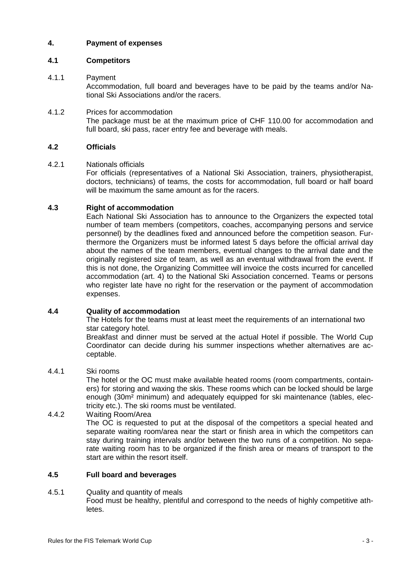# **4. Payment of expenses**

# **4.1 Competitors**

# 4.1.1 Payment

Accommodation, full board and beverages have to be paid by the teams and/or National Ski Associations and/or the racers.

4.1.2 Prices for accommodation The package must be at the maximum price of CHF 110.00 for accommodation and full board, ski pass, racer entry fee and beverage with meals.

## **4.2 Officials**

## 4.2.1 Nationals officials

For officials (representatives of a National Ski Association, trainers, physiotherapist, doctors, technicians) of teams, the costs for accommodation, full board or half board will be maximum the same amount as for the racers.

# **4.3 Right of accommodation**

Each National Ski Association has to announce to the Organizers the expected total number of team members (competitors, coaches, accompanying persons and service personnel) by the deadlines fixed and announced before the competition season. Furthermore the Organizers must be informed latest 5 days before the official arrival day about the names of the team members, eventual changes to the arrival date and the originally registered size of team, as well as an eventual withdrawal from the event. If this is not done, the Organizing Committee will invoice the costs incurred for cancelled accommodation (art. 4) to the National Ski Association concerned. Teams or persons who register late have no right for the reservation or the payment of accommodation expenses.

## **4.4 Quality of accommodation**

The Hotels for the teams must at least meet the requirements of an international two star category hotel.

Breakfast and dinner must be served at the actual Hotel if possible. The World Cup Coordinator can decide during his summer inspections whether alternatives are acceptable.

## 4.4.1 Ski rooms

The hotel or the OC must make available heated rooms (room compartments, containers) for storing and waxing the skis. These rooms which can be locked should be large enough (30m² minimum) and adequately equipped for ski maintenance (tables, electricity etc.). The ski rooms must be ventilated.

## 4.4.2 Waiting Room/Area

The OC is requested to put at the disposal of the competitors a special heated and separate waiting room/area near the start or finish area in which the competitors can stay during training intervals and/or between the two runs of a competition. No separate waiting room has to be organized if the finish area or means of transport to the start are within the resort itself.

## **4.5 Full board and beverages**

4.5.1 Quality and quantity of meals Food must be healthy, plentiful and correspond to the needs of highly competitive athletes.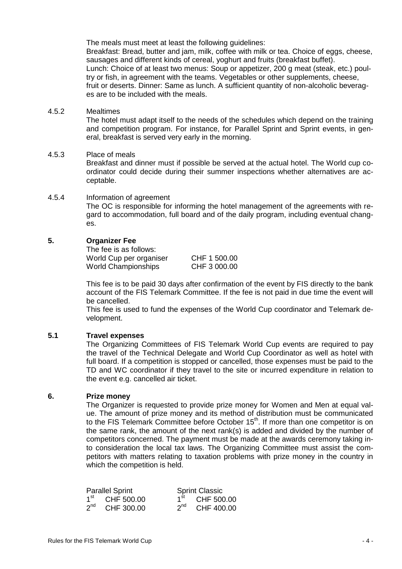The meals must meet at least the following quidelines:

Breakfast: Bread, butter and jam, milk, coffee with milk or tea. Choice of eggs, cheese, sausages and different kinds of cereal, yoghurt and fruits (breakfast buffet). Lunch: Choice of at least two menus: Soup or appetizer, 200 g meat (steak, etc.) poultry or fish, in agreement with the teams. Vegetables or other supplements, cheese, fruit or deserts. Dinner: Same as lunch. A sufficient quantity of non-alcoholic beverages are to be included with the meals.

## 4.5.2 Mealtimes

The hotel must adapt itself to the needs of the schedules which depend on the training and competition program. For instance, for Parallel Sprint and Sprint events, in general, breakfast is served very early in the morning.

## 4.5.3 Place of meals

Breakfast and dinner must if possible be served at the actual hotel. The World cup coordinator could decide during their summer inspections whether alternatives are acceptable.

## 4.5.4 Information of agreement The OC is responsible for informing the hotel management of the agreements with regard to accommodation, full board and of the daily program, including eventual changes.

## **5. Organizer Fee**

The fee is as follows: World Cup per organiser CHF 1 500.00 World Championships **CHF 3 000.00** 

This fee is to be paid 30 days after confirmation of the event by FIS directly to the bank account of the FIS Telemark Committee. If the fee is not paid in due time the event will be cancelled.

This fee is used to fund the expenses of the World Cup coordinator and Telemark development.

## **5.1 Travel expenses**

The Organizing Committees of FIS Telemark World Cup events are required to pay the travel of the Technical Delegate and World Cup Coordinator as well as hotel with full board. If a competition is stopped or cancelled, those expenses must be paid to the TD and WC coordinator if they travel to the site or incurred expenditure in relation to the event e.g. cancelled air ticket.

## **6. Prize money**

The Organizer is requested to provide prize money for Women and Men at equal value. The amount of prize money and its method of distribution must be communicated to the FIS Telemark Committee before October 15<sup>th</sup>. If more than one competitor is on the same rank, the amount of the next rank(s) is added and divided by the number of competitors concerned. The payment must be made at the awards ceremony taking into consideration the local tax laws. The Organizing Committee must assist the competitors with matters relating to taxation problems with prize money in the country in which the competition is held.

| <b>Parallel Sprint</b> |                  | <b>Sprint Classic</b> |                  |  |
|------------------------|------------------|-----------------------|------------------|--|
|                        | $1st$ CHF 500.00 |                       | $1st$ CHF 500.00 |  |
| $2^{nd}$               | CHF 300.00       | $2^{nd}$              | CHF 400.00       |  |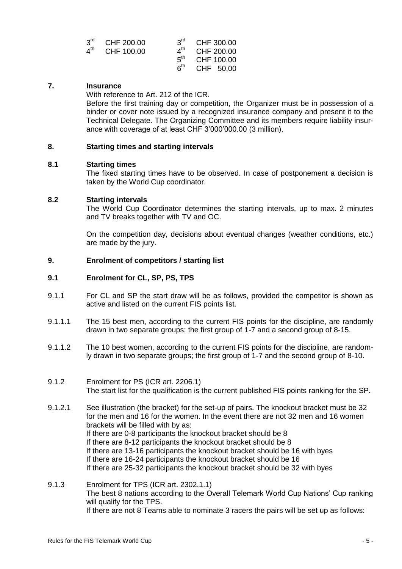|                 | $3^{\text{rd}}$ CHF 200.00 |                                     | $3^{rd}$ CHF 300.00 |
|-----------------|----------------------------|-------------------------------------|---------------------|
| $4^{\text{th}}$ | CHF 100.00                 |                                     | CHF 200.00          |
|                 |                            | $5^{\text{th}}$                     | CHF 100.00          |
|                 |                            | $\boldsymbol{\kappa}^{\textsf{th}}$ | CHF 50.00           |

## **7. Insurance**

With reference to Art. 212 of the ICR.

Before the first training day or competition, the Organizer must be in possession of a binder or cover note issued by a recognized insurance company and present it to the Technical Delegate. The Organizing Committee and its members require liability insurance with coverage of at least CHF 3'000'000.00 (3 million).

## **8. Starting times and starting intervals**

#### **8.1 Starting times**

The fixed starting times have to be observed. In case of postponement a decision is taken by the World Cup coordinator.

## **8.2 Starting intervals**

The World Cup Coordinator determines the starting intervals, up to max. 2 minutes and TV breaks together with TV and OC.

On the competition day, decisions about eventual changes (weather conditions, etc.) are made by the jury.

## **9. Enrolment of competitors / starting list**

## **9.1 Enrolment for CL, SP, PS, TPS**

- 9.1.1 For CL and SP the start draw will be as follows, provided the competitor is shown as active and listed on the current FIS points list.
- 9.1.1.1 The 15 best men, according to the current FIS points for the discipline, are randomly drawn in two separate groups; the first group of 1-7 and a second group of 8-15.
- 9.1.1.2 The 10 best women, according to the current FIS points for the discipline, are randomly drawn in two separate groups; the first group of 1-7 and the second group of 8-10.
- 9.1.2 Enrolment for PS (ICR art. 2206.1) The start list for the qualification is the current published FIS points ranking for the SP.
- 9.1.2.1 See illustration (the bracket) for the set-up of pairs. The knockout bracket must be 32 for the men and 16 for the women. In the event there are not 32 men and 16 women brackets will be filled with by as: If there are 0-8 participants the knockout bracket should be 8 If there are 8-12 participants the knockout bracket should be 8 If there are 13-16 participants the knockout bracket should be 16 with byes If there are 16-24 participants the knockout bracket should be 16 If there are 25-32 participants the knockout bracket should be 32 with byes
- 9.1.3 Enrolment for TPS (ICR art. 2302.1.1) The best 8 nations according to the Overall Telemark World Cup Nations' Cup ranking will qualify for the TPS. If there are not 8 Teams able to nominate 3 racers the pairs will be set up as follows: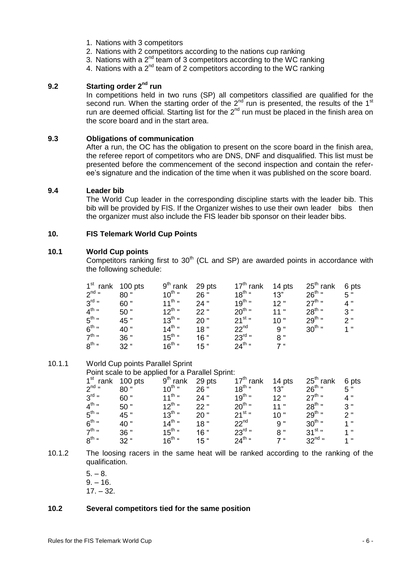- 1. Nations with 3 competitors
- 2. Nations with 2 competitors according to the nations cup ranking
- 3. Nations with a 2<sup>nd</sup> team of 3 competitors according to the WC ranking
- 4. Nations with a  $2^{nd}$  team of 2 competitors according to the WC ranking

# **9.2 Starting order 2nd run**

In competitions held in two runs (SP) all competitors classified are qualified for the second run. When the starting order of the  $2^{nd}$  run is presented, the results of the 1<sup>st</sup> run are deemed official. Starting list for the  $2<sup>nd</sup>$  run must be placed in the finish area on the score board and in the start area.

#### **9.3 Obligations of communication**

After a run, the OC has the obligation to present on the score board in the finish area, the referee report of competitors who are DNS, DNF and disqualified. This list must be presented before the commencement of the second inspection and contain the referee's signature and the indication of the time when it was published on the score board.

#### **9.4 Leader bib**

The World Cup leader in the corresponding discipline starts with the leader bib. This bib will be provided by FIS. If the Organizer wishes to use their own leader bibs then the organizer must also include the FIS leader bib sponsor on their leader bibs.

## **10. FIS Telemark World Cup Points**

## **10.1 World Cup points**

Competitors ranking first to  $30<sup>th</sup>$  (CL and SP) are awarded points in accordance with the following schedule:

| $1st$ rank        | $100$ pts | $9th$ rank         | 29 pts          | $17th$ rank        | 14 pts | $25th$ rank | 6 pts |
|-------------------|-----------|--------------------|-----------------|--------------------|--------|-------------|-------|
| $2^{nd}$ "        | 80"       | $10^{th}$ "        | 26 "            | $18^{\text{th}}$ " | 13"    | $26^{th}$ " | 5"    |
| $3^{\text{rd}}$ " | 60"       | $11^{th}$ "        | 24"             | $19^{th}$ "        | 12"    | $27^{th}$ " | 4"    |
| $4^{\text{th}}$ " | 50"       | $12^{th}$ "        | 22"             | $20^{th}$ "        | 11"    | $28^{th}$ " | 3"    |
| $5^{\text{th}}$ " | 45 "      | $13^{th}$ "        | 20"             | $21^{st}$ "        | 10"    | $29^{th}$ " | 2"    |
| $6^{th}$ "        | 40 "      | $14^{th}$ "        | 18"             | $22^{nd}$          | 9"     | $30^{th}$ " | 1"    |
| $7^{\text{th}}$ " | 36 "      | $15^{th}$ "        | 16 <sup>"</sup> | $23rd$ "           | 8"     |             |       |
| $8^{\text{th}}$ " | $32$ "    | $16^{\text{th}}$ " | $15$ "          | $24^{th}$ "        | 7"     |             |       |

## 10.1.1 World Cup points Parallel Sprint

Point scale to be applied for a Parallel Sprint:

| 1 <sup>st</sup> rank 100 pts |        | $9th$ rank         | 29 pts | 17 <sup>th</sup> rank | 14 pts | $25th$ rank | 6 pts |
|------------------------------|--------|--------------------|--------|-----------------------|--------|-------------|-------|
| $2^{nd}$ "                   | 80"    | $10^{th}$ "        | 26"    | $18^{th}$ "           | 13"    | $26^{th}$ " | 5"    |
| $3^{\text{rd}}$ "            | 60"    | $11^{th}$ "        | 24"    | $19^{th}$ "           | 12"    | $27^{th}$ " | 4 "   |
| $4^{\text{th}}$ "            | 50"    | $12^{th}$ "        | 22"    | $20^{th}$ "           | 11"    | $28^{th}$ " | 3"    |
| $5^{\text{th}}$ "            | 45 "   | $13^{th}$ "        | 20"    | $21^{st}$ "           | 10"    | $29^{th}$ " | 2"    |
| $6^{th}$ "                   | 40"    | $14^{th}$ "        | 18"    | 22 <sup>nd</sup>      | 9 "    | $30^{th}$ " | 1"    |
| $7^{\text{th}}$ "            | 36 "   | $15^{\text{th}}$ " | $16$ " | $23^{\text{rd}}$ "    | 8"     | $31^{st}$ " | 1"    |
| $R^{th}$ "                   | $32$ " | $16^{th}$ "        | $15$ " | $24^{th}$ "           | 7"     | $32^{nd}$ " | 1"    |
|                              |        |                    |        |                       |        |             |       |

- 10.1.2 The loosing racers in the same heat will be ranked according to the ranking of the qualification.
	- $5. 8.$  $9. - 16.$  $17. - 32.$

#### **10.2 Several competitors tied for the same position**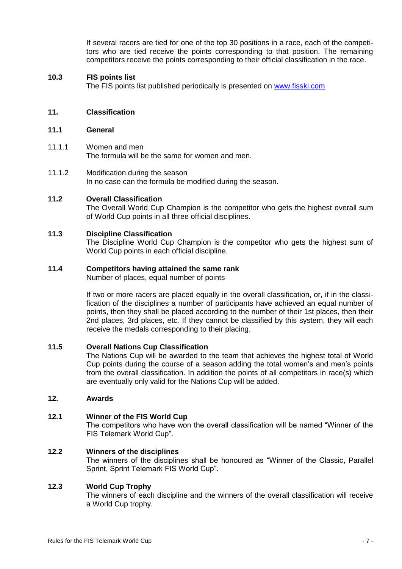If several racers are tied for one of the top 30 positions in a race, each of the competitors who are tied receive the points corresponding to that position. The remaining competitors receive the points corresponding to their official classification in the race.

## **10.3 FIS points list**

The FIS points list published periodically is presented on [www.fisski.com](http://www.fisski.com/)

## **11. Classification**

#### **11.1 General**

- 11.1.1 Women and men The formula will be the same for women and men.
- 11.1.2 Modification during the season In no case can the formula be modified during the season.

## **11.2 Overall Classification**

The Overall World Cup Champion is the competitor who gets the highest overall sum of World Cup points in all three official disciplines.

## **11.3 Discipline Classification**

The Discipline World Cup Champion is the competitor who gets the highest sum of World Cup points in each official discipline.

## **11.4 Competitors having attained the same rank**

Number of places, equal number of points

If two or more racers are placed equally in the overall classification, or, if in the classification of the disciplines a number of participants have achieved an equal number of points, then they shall be placed according to the number of their 1st places, then their 2nd places, 3rd places, etc. If they cannot be classified by this system, they will each receive the medals corresponding to their placing.

#### **11.5 Overall Nations Cup Classification**

The Nations Cup will be awarded to the team that achieves the highest total of World Cup points during the course of a season adding the total women's and men's points from the overall classification. In addition the points of all competitors in race(s) which are eventually only valid for the Nations Cup will be added.

## **12. Awards**

#### **12.1 Winner of the FIS World Cup**

The competitors who have won the overall classification will be named "Winner of the FIS Telemark World Cup".

#### **12.2 Winners of the disciplines**

The winners of the disciplines shall be honoured as "Winner of the Classic, Parallel Sprint, Sprint Telemark FIS World Cup".

## **12.3 World Cup Trophy**

The winners of each discipline and the winners of the overall classification will receive a World Cup trophy.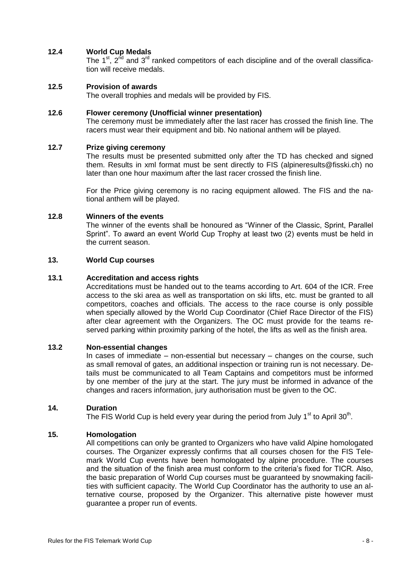# **12.4 World Cup Medals**

The 1<sup>st</sup>,  $2^{nd}$  and  $3^{rd}$  ranked competitors of each discipline and of the overall classification will receive medals.

## **12.5 Provision of awards**

The overall trophies and medals will be provided by FIS.

#### **12.6 Flower ceremony (Unofficial winner presentation)**

The ceremony must be immediately after the last racer has crossed the finish line. The racers must wear their equipment and bib. No national anthem will be played.

## **12.7 Prize giving ceremony**

The results must be presented submitted only after the TD has checked and signed them. Results in xml format must be sent directly to FIS (alpineresults@fisski.ch) no later than one hour maximum after the last racer crossed the finish line.

For the Price giving ceremony is no racing equipment allowed. The FIS and the national anthem will be played.

## **12.8 Winners of the events**

The winner of the events shall be honoured as "Winner of the Classic, Sprint, Parallel Sprint". To award an event World Cup Trophy at least two (2) events must be held in the current season.

#### **13. World Cup courses**

## **13.1 Accreditation and access rights**

Accreditations must be handed out to the teams according to Art. 604 of the ICR. Free access to the ski area as well as transportation on ski lifts, etc. must be granted to all competitors, coaches and officials. The access to the race course is only possible when specially allowed by the World Cup Coordinator (Chief Race Director of the FIS) after clear agreement with the Organizers. The OC must provide for the teams reserved parking within proximity parking of the hotel, the lifts as well as the finish area.

## **13.2 Non-essential changes**

In cases of immediate – non-essential but necessary – changes on the course, such as small removal of gates, an additional inspection or training run is not necessary. Details must be communicated to all Team Captains and competitors must be informed by one member of the jury at the start. The jury must be informed in advance of the changes and racers information, jury authorisation must be given to the OC.

#### **14. Duration**

The FIS World Cup is held every year during the period from July 1<sup>st</sup> to April 30<sup>th</sup>.

#### **15. Homologation**

All competitions can only be granted to Organizers who have valid Alpine homologated courses. The Organizer expressly confirms that all courses chosen for the FIS Telemark World Cup events have been homologated by alpine procedure. The courses and the situation of the finish area must conform to the criteria's fixed for TICR. Also, the basic preparation of World Cup courses must be guaranteed by snowmaking facilities with sufficient capacity. The World Cup Coordinator has the authority to use an alternative course, proposed by the Organizer. This alternative piste however must guarantee a proper run of events.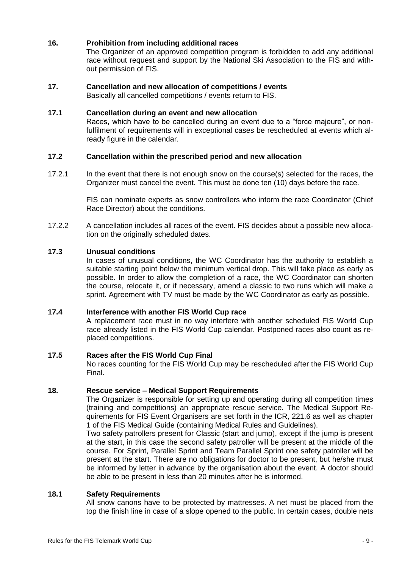# **16. Prohibition from including additional races**

The Organizer of an approved competition program is forbidden to add any additional race without request and support by the National Ski Association to the FIS and without permission of FIS.

# **17. Cancellation and new allocation of competitions / events**

Basically all cancelled competitions / events return to FIS.

## **17.1 Cancellation during an event and new allocation**

Races, which have to be cancelled during an event due to a "force majeure", or nonfulfilment of requirements will in exceptional cases be rescheduled at events which already figure in the calendar.

# **17.2 Cancellation within the prescribed period and new allocation**

17.2.1 In the event that there is not enough snow on the course(s) selected for the races, the Organizer must cancel the event. This must be done ten (10) days before the race.

> FIS can nominate experts as snow controllers who inform the race Coordinator (Chief Race Director) about the conditions.

17.2.2 A cancellation includes all races of the event. FIS decides about a possible new allocation on the originally scheduled dates.

## **17.3 Unusual conditions**

In cases of unusual conditions, the WC Coordinator has the authority to establish a suitable starting point below the minimum vertical drop. This will take place as early as possible. In order to allow the completion of a race, the WC Coordinator can shorten the course, relocate it, or if necessary, amend a classic to two runs which will make a sprint. Agreement with TV must be made by the WC Coordinator as early as possible.

#### **17.4 Interference with another FIS World Cup race**

A replacement race must in no way interfere with another scheduled FIS World Cup race already listed in the FIS World Cup calendar. Postponed races also count as replaced competitions.

## **17.5 Races after the FIS World Cup Final**

No races counting for the FIS World Cup may be rescheduled after the FIS World Cup Final.

#### **18. Rescue service – Medical Support Requirements**

The Organizer is responsible for setting up and operating during all competition times (training and competitions) an appropriate rescue service. The Medical Support Requirements for FIS Event Organisers are set forth in the ICR, 221.6 as well as chapter 1 of the FIS Medical Guide (containing Medical Rules and Guidelines).

Two safety patrollers present for Classic (start and jump), except if the jump is present at the start, in this case the second safety patroller will be present at the middle of the course. For Sprint, Parallel Sprint and Team Parallel Sprint one safety patroller will be present at the start. There are no obligations for doctor to be present, but he/she must be informed by letter in advance by the organisation about the event. A doctor should be able to be present in less than 20 minutes after he is informed.

## **18.1 Safety Requirements**

All snow canons have to be protected by mattresses. A net must be placed from the top the finish line in case of a slope opened to the public. In certain cases, double nets